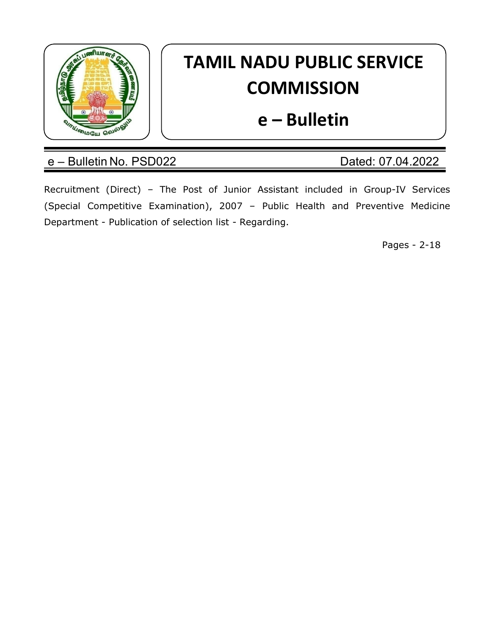

# TAMIL NADU PUBLIC SERVICE **COMMISSION**

## e – Bulletin

### e – Bulletin No. PSD022 Dated: 07.04.2022

Recruitment (Direct) – The Post of Junior Assistant included in Group-IV Services (Special Competitive Examination), 2007 – Public Health and Preventive Medicine Department - Publication of selection list - Regarding.

Pages - 2-18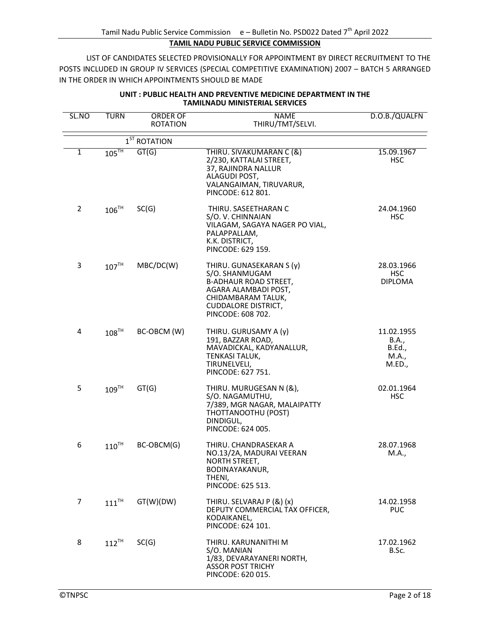#### TAMIL NADU PUBLIC SERVICE COMMISSION

LIST OF CANDIDATES SELECTED PROVISIONALLY FOR APPOINTMENT BY DIRECT RECRUITMENT TO THE POSTS INCLUDED IN GROUP IV SERVICES (SPECIAL COMPETITIVE EXAMINATION) 2007 – BATCH 5 ARRANGED IN THE ORDER IN WHICH APPOINTMENTS SHOULD BE MADE

| SL.NO          | <b>TURN</b>         | ORDER OF<br><b>ROTATION</b>  | <b>NAME</b><br>THIRU/TMT/SELVI.                                                                                                                                             | D.O.B./QUALFN                                    |
|----------------|---------------------|------------------------------|-----------------------------------------------------------------------------------------------------------------------------------------------------------------------------|--------------------------------------------------|
|                |                     | $\overline{1}^{ST}$ ROTATION |                                                                                                                                                                             |                                                  |
| 1              | $105$ <sup>TH</sup> | GT(G)                        | THIRU. SIVAKUMARAN C (&)<br>2/230, KATTALAI STREET,<br>37, RAJINDRA NALLUR<br>ALAGUDI POST,<br>VALANGAIMAN, TIRUVARUR,<br>PINCODE: 612 801.                                 | 15.09.1967<br><b>HSC</b>                         |
| $\overline{2}$ | $106$ <sup>TH</sup> | SC(G)                        | THIRU. SASEETHARAN C<br>S/O. V. CHINNAIAN<br>VILAGAM, SAGAYA NAGER PO VIAL,<br>PALAPPALLAM,<br>K.K. DISTRICT,<br>PINCODE: 629 159.                                          | 24.04.1960<br><b>HSC</b>                         |
| 3              | 107 <sup>TH</sup>   | MBC/DC(W)                    | THIRU. GUNASEKARAN S (y)<br>S/O. SHANMUGAM<br><b>B-ADHAUR ROAD STREET,</b><br>AGARA ALAMBADI POST,<br>CHIDAMBARAM TALUK,<br><b>CUDDALORE DISTRICT,</b><br>PINCODE: 608 702. | 28.03.1966<br>HSC<br><b>DIPLOMA</b>              |
| 4              | 108 <sup>TH</sup>   | BC-OBCM (W)                  | THIRU. GURUSAMY A (y)<br>191, BAZZAR ROAD,<br>MAVADICKAL, KADYANALLUR,<br>TENKASI TALUK,<br>TIRUNELVELI,<br>PINCODE: 627 751.                                               | 11.02.1955<br>B.A.,<br>B.Ed.,<br>M.A.,<br>M.ED., |
| 5              | 109 <sup>TH</sup>   | GT(G)                        | THIRU. MURUGESAN N (&),<br>S/O. NAGAMUTHU,<br>7/389, MGR NAGAR, MALAIPATTY<br>THOTTANOOTHU (POST)<br>DINDIGUL,<br>PINCODE: 624 005.                                         | 02.01.1964<br><b>HSC</b>                         |
| 6              | $110^{TH}$          | BC-OBCM(G)                   | THIRU. CHANDRASEKAR A<br>NO.13/2A, MADURAI VEERAN<br>NORTH STREET,<br>BODINAYAKANUR,<br>THENI,<br>PINCODE: 625 513.                                                         | 28.07.1968<br>M.A.,                              |
| 7              | $111$ <sup>TH</sup> | GT(W)(DW)                    | THIRU. SELVARAJ P (&) (x)<br>DEPUTY COMMERCIAL TAX OFFICER,<br>KODAIKANEL,<br>PINCODE: 624 101.                                                                             | 14.02.1958<br><b>PUC</b>                         |
| 8              | $112$ <sup>TH</sup> | SC(G)                        | THIRU. KARUNANITHI M<br>S/O. MANIAN<br>1/83, DEVARAYANERI NORTH,<br><b>ASSOR POST TRICHY</b><br>PINCODE: 620 015.                                                           | 17.02.1962<br>B.Sc.                              |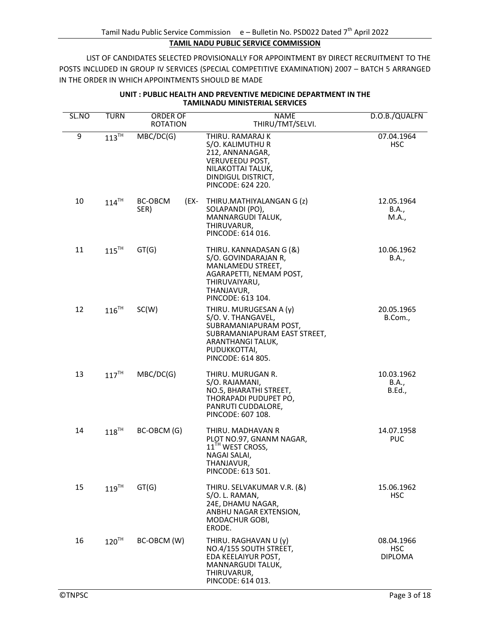| SL.NO | <b>TURN</b>         | ORDER OF<br><b>ROTATION</b> | <b>NAME</b><br>THIRU/TMT/SELVI.                                                                                                                                | D.O.B./QUALFN                              |
|-------|---------------------|-----------------------------|----------------------------------------------------------------------------------------------------------------------------------------------------------------|--------------------------------------------|
| 9     | $113$ <sup>TH</sup> | MBC/DC(G)                   | THIRU. RAMARAJ K<br>S/O. KALIMUTHU R<br>212, ANNANAGAR,<br><b>VERUVEEDU POST,</b><br>NILAKOTTAI TALUK,<br>DINDIGUL DISTRICT,<br>PINCODE: 624 220.              | 07.04.1964<br><b>HSC</b>                   |
| 10    | $114$ <sup>TH</sup> | BC-OBCM<br>(EX-<br>SER)     | THIRU.MATHIYALANGAN G (z)<br>SOLAPANDI (PO),<br>MANNARGUDI TALUK,<br>THIRUVARUR,<br>PINCODE: 614 016.                                                          | 12.05.1964<br>B.A.,<br>M.A.,               |
| 11    | $115$ <sup>TH</sup> | GT(G)                       | THIRU. KANNADASAN G (&)<br>S/O. GOVINDARAJAN R,<br>MANLAMEDU STREET,<br>AGARAPETTI, NEMAM POST,<br>THIRUVAIYARU,<br>THANJAVUR,<br>PINCODE: 613 104.            | 10.06.1962<br>B.A.,                        |
| 12    | $116$ <sup>TH</sup> | SC(W)                       | THIRU. MURUGESAN A (y)<br>S/O.V. THANGAVEL,<br>SUBRAMANIAPURAM POST,<br>SUBRAMANIAPURAM EAST STREET,<br>ARANTHANGI TALUK,<br>PUDUKKOTTAI,<br>PINCODE: 614 805. | 20.05.1965<br>B.Com.,                      |
| 13    | $117$ <sup>TH</sup> | MBC/DC(G)                   | THIRU. MURUGAN R.<br>S/O. RAJAMANI,<br>NO.5, BHARATHI STREET,<br>THORAPADI PUDUPET PO,<br>PANRUTI CUDDALORE,<br>PINCODE: 607 108.                              | 10.03.1962<br>B.A.,<br><b>B.Ed.,</b>       |
| 14    | $118^{TH}$          | BC-OBCM (G)                 | THIRU. MADHAVAN R<br>PLOT NO.97, GNANM NAGAR,<br>11 <sup>TH</sup> WEST CROSS,<br>NAGAI SALAI,<br>THANJAVUR,<br>PINCODE: 613 501.                               | 14.07.1958<br><b>PUC</b>                   |
| 15    | $119$ <sup>TH</sup> | GT(G)                       | THIRU. SELVAKUMAR V.R. (&)<br>S/O. L. RAMAN,<br>24E, DHAMU NAGAR,<br>ANBHU NAGAR EXTENSION,<br>MODACHUR GOBI,<br>ERODE.                                        | 15.06.1962<br><b>HSC</b>                   |
| 16    | $120$ <sup>TH</sup> | BC-OBCM (W)                 | THIRU. RAGHAVAN U (y)<br>NO.4/155 SOUTH STREET,<br>EDA KEELAIYUR POST,<br>MANNARGUDI TALUK,<br>THIRUVARUR,<br>PINCODE: 614 013.                                | 08.04.1966<br><b>HSC</b><br><b>DIPLOMA</b> |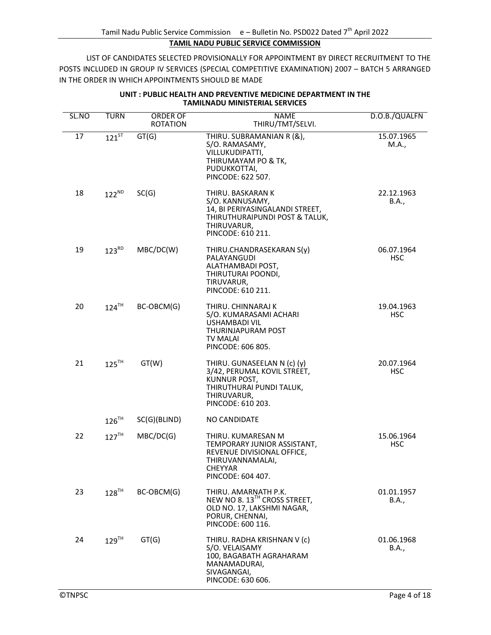| SL.NO | <b>TURN</b>         | ORDER OF        | <b>NAME</b>                                                                                                                                   | D.O.B./QUALFN            |
|-------|---------------------|-----------------|-----------------------------------------------------------------------------------------------------------------------------------------------|--------------------------|
|       |                     | <b>ROTATION</b> | THIRU/TMT/SELVI.                                                                                                                              |                          |
| 17    | $121^{5T}$          | GT(G)           | THIRU. SUBRAMANIAN R (&),<br>S/O. RAMASAMY,<br>VILLUKUDIPATTI,<br>THIRUMAYAM PO & TK,<br>PUDUKKOTTAI,<br>PINCODE: 622 507.                    | 15.07.1965<br>M.A.,      |
| 18    | $122^{ND}$          | SC(G)           | THIRU. BASKARAN K<br>S/O. KANNUSAMY,<br>14, BI PERIYASINGALANDI STREET,<br>THIRUTHURAIPUNDI POST & TALUK,<br>THIRUVARUR,<br>PINCODE: 610 211. | 22.12.1963<br>B.A.,      |
| 19    | $123^{RD}$          | MBC/DC(W)       | THIRU.CHANDRASEKARAN S(y)<br>PALAYANGUDI<br>ALATHAMBADI POST,<br>THIRUTURAI POONDI,<br>TIRUVARUR,<br>PINCODE: 610 211.                        | 06.07.1964<br><b>HSC</b> |
| 20    | $124$ <sup>TH</sup> | BC-OBCM(G)      | THIRU. CHINNARAJ K<br>S/O. KUMARASAMI ACHARI<br><b>USHAMBADI VIL</b><br>THURINJAPURAM POST<br><b>TV MALAI</b><br>PINCODE: 606 805.            | 19.04.1963<br><b>HSC</b> |
| 21    | $125$ <sup>TH</sup> | GT(W)           | THIRU. GUNASEELAN N (c) (y)<br>3/42, PERUMAL KOVIL STREET,<br>KUNNUR POST,<br>THIRUTHURAI PUNDI TALUK,<br>THIRUVARUR,<br>PINCODE: 610 203.    | 20.07.1964<br><b>HSC</b> |
|       | $126$ <sup>TH</sup> | SC(G)(BLIND)    | <b>NO CANDIDATE</b>                                                                                                                           |                          |
| 22    | $127$ <sup>TH</sup> | MBC/DC(G)       | THIRU. KUMARESAN M<br>TEMPORARY JUNIOR ASSISTANT,<br>REVENUE DIVISIONAL OFFICE,<br>THIRUVANNAMALAI,<br>CHEYYAR<br>PINCODE: 604 407.           | 15.06.1964<br><b>HSC</b> |
| 23    | $128$ <sup>TH</sup> | BC-OBCM(G)      | THIRU. AMARNATH P.K.<br>NEW NO 8. 13 <sup>TH</sup> CROSS STREET,<br>OLD NO. 17, LAKSHMI NAGAR,<br>PORUR, CHENNAI,<br>PINCODE: 600 116.        | 01.01.1957<br>B.A.,      |
| 24    | $129$ <sup>TH</sup> | GT(G)           | THIRU. RADHA KRISHNAN V (c)<br>S/O. VELAISAMY<br>100, BAGABATH AGRAHARAM<br>MANAMADURAI,<br>SIVAGANGAI,<br>PINCODE: 630 606.                  | 01.06.1968<br>B.A.,      |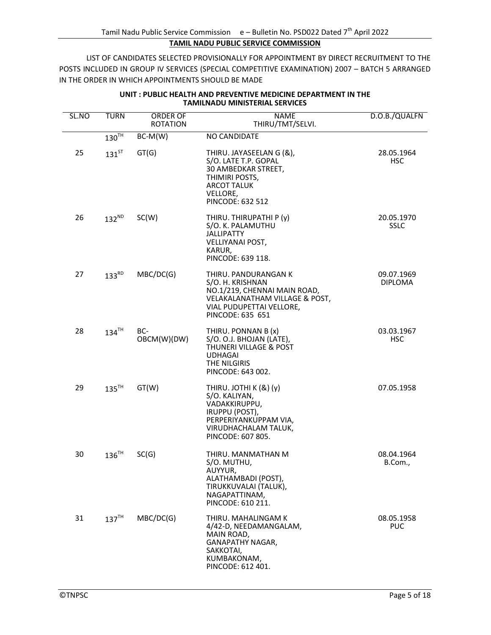| SL.NO | <b>TURN</b>         | ORDER OF<br><b>ROTATION</b> | <b>NAME</b><br>THIRU/TMT/SELVI.                                                                                                                            | D.O.B./QUALFN                |
|-------|---------------------|-----------------------------|------------------------------------------------------------------------------------------------------------------------------------------------------------|------------------------------|
|       | $130^{\text{TH}}$   | $BC-M(W)$                   | <b>NO CANDIDATE</b>                                                                                                                                        |                              |
| 25    | $131$ <sup>ST</sup> | GT(G)                       | THIRU. JAYASEELAN G (&),<br>S/O. LATE T.P. GOPAL<br>30 AMBEDKAR STREET,<br>THIMIRI POSTS,<br><b>ARCOT TALUK</b><br>VELLORE,<br>PINCODE: 632 512            | 28.05.1964<br><b>HSC</b>     |
| 26    | $132^{ND}$          | SC(W)                       | THIRU. THIRUPATHI P (y)<br>S/O. K. PALAMUTHU<br><b>JALLIPATTY</b><br>VELLIYANAI POST,<br>KARUR,<br>PINCODE: 639 118.                                       | 20.05.1970<br><b>SSLC</b>    |
| 27    | $133^{RD}$          | MBC/DC(G)                   | THIRU. PANDURANGAN K<br>S/O. H. KRISHNAN<br>NO.1/219, CHENNAI MAIN ROAD,<br>VELAKALANATHAM VILLAGE & POST,<br>VIAL PUDUPETTAI VELLORE,<br>PINCODE: 635 651 | 09.07.1969<br><b>DIPLOMA</b> |
| 28    | $134$ <sup>TH</sup> | BC-<br>OBCM(W)(DW)          | THIRU. PONNAN B (x)<br>S/O. O.J. BHOJAN (LATE),<br>THUNERI VILLAGE & POST<br><b>UDHAGAI</b><br>THE NILGIRIS<br>PINCODE: 643 002.                           | 03.03.1967<br><b>HSC</b>     |
| 29    | $135$ <sup>TH</sup> | GT(W)                       | THIRU. JOTHI K (&) (y)<br>S/O. KALIYAN,<br>VADAKKIRUPPU,<br>IRUPPU (POST),<br>PERPERIYANKUPPAM VIA,<br>VIRUDHACHALAM TALUK,<br>PINCODE: 607 805.           | 07.05.1958                   |
| 30    | $136^{\text{TH}}$   | SC(G)                       | THIRU. MANMATHAN M<br>S/O. MUTHU,<br>AUYYUR,<br>ALATHAMBADI (POST),<br>TIRUKKUVALAI (TALUK),<br>NAGAPATTINAM,<br>PINCODE: 610 211.                         | 08.04.1964<br>B.Com.,        |
| 31    | 137 <sup>TH</sup>   | MBC/DC(G)                   | THIRU. MAHALINGAM K<br>4/42-D, NEEDAMANGALAM,<br>MAIN ROAD.<br>GANAPATHY NAGAR,<br>SAKKOTAI,<br>KUMBAKONAM,<br>PINCODE: 612 401.                           | 08.05.1958<br><b>PUC</b>     |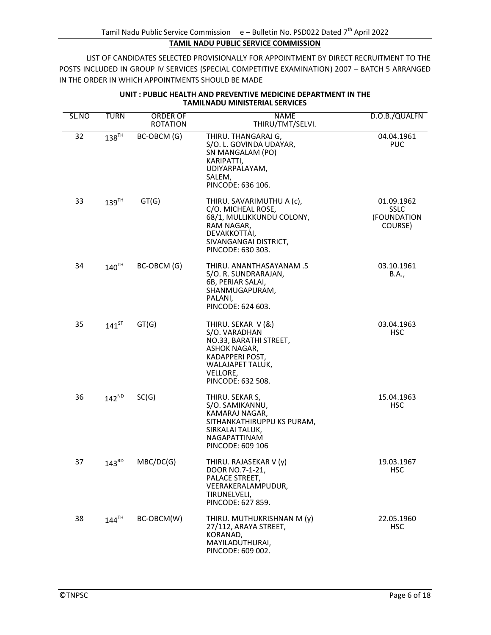| SL.NO | <b>TURN</b>         | ORDER OF<br><b>ROTATION</b> | NAME<br>THIRU/TMT/SELVI.                                                                                                                                 | D.O.B./QUALFN                                       |
|-------|---------------------|-----------------------------|----------------------------------------------------------------------------------------------------------------------------------------------------------|-----------------------------------------------------|
| 32    | $138$ <sup>TH</sup> | BC-OBCM (G)                 | THIRU. THANGARAJ G,<br>S/O. L. GOVINDA UDAYAR,<br>SN MANGALAM (PO)<br>KARIPATTI,<br>UDIYARPALAYAM,<br>SALEM,<br>PINCODE: 636 106.                        | 04.04.1961<br><b>PUC</b>                            |
| 33    | $139$ <sup>TH</sup> | GT(G)                       | THIRU. SAVARIMUTHU A (c),<br>C/O. MICHEAL ROSE,<br>68/1, MULLIKKUNDU COLONY,<br>RAM NAGAR,<br>DEVAKKOTTAI,<br>SIVANGANGAI DISTRICT,<br>PINCODE: 630 303. | 01.09.1962<br><b>SSLC</b><br>(FOUNDATION<br>COURSE) |
| 34    | $140^{\text{TH}}$   | BC-OBCM (G)                 | THIRU. ANANTHASAYANAM .S<br>S/O. R. SUNDRARAJAN,<br>6B, PERIAR SALAI,<br>SHANMUGAPURAM,<br>PALANI,<br>PINCODE: 624 603.                                  | 03.10.1961<br>B.A.,                                 |
| 35    | $141^{5T}$          | GT(G)                       | THIRU. SEKAR V (&)<br>S/O. VARADHAN<br>NO.33, BARATHI STREET,<br>ASHOK NAGAR,<br>KADAPPERI POST,<br>WALAJAPET TALUK,<br>VELLORE,<br>PINCODE: 632 508.    | 03.04.1963<br><b>HSC</b>                            |
| 36    | $142^{ND}$          | SC(G)                       | THIRU. SEKAR S,<br>S/O. SAMIKANNU,<br>KAMARAJ NAGAR,<br>SITHANKATHIRUPPU KS PURAM,<br>SIRKALAI TALUK,<br>NAGAPATTINAM<br>PINCODE: 609 106                | 15.04.1963<br><b>HSC</b>                            |
| 37    | $143^{RD}$          | MBC/DC(G)                   | THIRU. RAJASEKAR V (y)<br>DOOR NO. 7-1-21,<br>PALACE STREET,<br>VEERAKERALAMPUDUR,<br>TIRUNELVELI,<br>PINCODE: 627 859.                                  | 19.03.1967<br>HSC                                   |
| 38    | $144$ <sup>TH</sup> | BC-OBCM(W)                  | THIRU. MUTHUKRISHNAN M (y)<br>27/112, ARAYA STREET,<br>KORANAD,<br>MAYILADUTHURAI,<br>PINCODE: 609 002.                                                  | 22.05.1960<br><b>HSC</b>                            |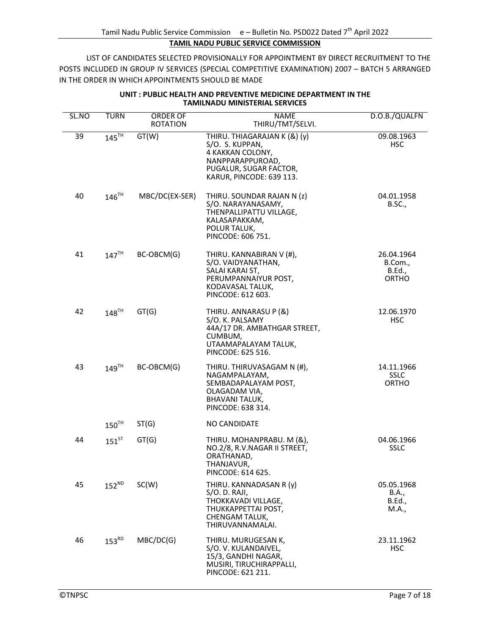| SL.NO | <b>TURN</b>         | ORDER OF        | <b>NAME</b>                                                                                                                                   | D.O.B./QUALFN                                   |
|-------|---------------------|-----------------|-----------------------------------------------------------------------------------------------------------------------------------------------|-------------------------------------------------|
|       |                     | <b>ROTATION</b> | THIRU/TMT/SELVI.                                                                                                                              |                                                 |
| 39    | $145$ <sup>TH</sup> | GT(W)           | THIRU. THIAGARAJAN K (&) (y)<br>S/O. S. KUPPAN,<br>4 KAKKAN COLONY,<br>NANPPARAPPUROAD,<br>PUGALUR, SUGAR FACTOR,<br>KARUR, PINCODE: 639 113. | 09.08.1963<br><b>HSC</b>                        |
| 40    | $146$ <sup>TH</sup> | MBC/DC(EX-SER)  | THIRU. SOUNDAR RAJAN N (z)<br>S/O. NARAYANASAMY,<br>THENPALLIPATTU VILLAGE,<br>KALASAPAKKAM,<br>POLUR TALUK,<br>PINCODE: 606 751.             | 04.01.1958<br><b>B.SC.,</b>                     |
| 41    | $147^{\text{TH}}$   | BC-OBCM(G)      | THIRU. KANNABIRAN V (#),<br>S/O. VAIDYANATHAN,<br>SALAI KARAI ST,<br>PERUMPANNAIYUR POST,<br>KODAVASAL TALUK,<br>PINCODE: 612 603.            | 26.04.1964<br>B.Com.,<br>B.Ed.,<br><b>ORTHO</b> |
| 42    | $148$ <sup>TH</sup> | GT(G)           | THIRU. ANNARASU P (&)<br>S/O. K. PALSAMY<br>44A/17 DR. AMBATHGAR STREET,<br>CUMBUM,<br>UTAAMAPALAYAM TALUK,<br>PINCODE: 625 516.              | 12.06.1970<br><b>HSC</b>                        |
| 43    | $149$ <sup>TH</sup> | BC-OBCM(G)      | THIRU. THIRUVASAGAM N (#),<br>NAGAMPALAYAM,<br>SEMBADAPALAYAM POST,<br>OLAGADAM VIA,<br><b>BHAVANI TALUK,</b><br>PINCODE: 638 314.            | 14.11.1966<br><b>SSLC</b><br><b>ORTHO</b>       |
|       | $150$ <sup>TH</sup> | ST(G)           | <b>NO CANDIDATE</b>                                                                                                                           |                                                 |
| 44    | $151^{ST}$          | GT(G)           | THIRU. MOHANPRABU. M (&),<br>NO.2/8, R.V.NAGAR II STREET,<br>ORATHANAD,<br>THANJAVUR,<br>PINCODE: 614 625.                                    | 04.06.1966<br><b>SSLC</b>                       |
| 45    | $152^{ND}$          | SC(W)           | THIRU. KANNADASAN R (y)<br>$S/O$ . D. RAJI,<br>THOKKAVADI VILLAGE.<br>THUKKAPPETTAI POST,<br>CHENGAM TALUK,<br>THIRUVANNAMALAI.               | 05.05.1968<br>B.A.,<br><b>B.Ed.,</b><br>M.A.,   |
| 46    | $153^{RD}$          | MBC/DC(G)       | THIRU. MURUGESAN K,<br>S/O.V. KULANDAIVEL,<br>15/3, GANDHI NAGAR,<br>MUSIRI, TIRUCHIRAPPALLI,<br>PINCODE: 621 211.                            | 23.11.1962<br><b>HSC</b>                        |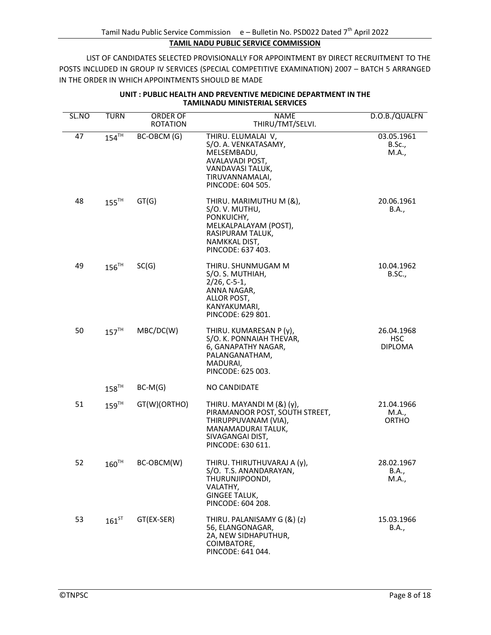| SL.NO | <b>TURN</b>         | <b>ORDER OF</b><br><b>ROTATION</b> | <b>NAME</b><br>THIRU/TMT/SELVI.                                                                                                                    | D.O.B./QUALFN                              |
|-------|---------------------|------------------------------------|----------------------------------------------------------------------------------------------------------------------------------------------------|--------------------------------------------|
| 47    | $154$ <sup>TH</sup> | BC-OBCM (G)                        | THIRU. ELUMALAI V,<br>S/O. A. VENKATASAMY,<br>MELSEMBADU,<br>AVALAVADI POST,<br>VANDAVASI TALUK,<br>TIRUVANNAMALAI,<br>PINCODE: 604 505.           | 03.05.1961<br><b>B.Sc.,</b><br>M.A.,       |
| 48    | $155$ <sup>TH</sup> | GT(G)                              | THIRU. MARIMUTHU M (&),<br>S/O.V. MUTHU,<br>PONKUICHY,<br>MELKALPALAYAM (POST),<br>RASIPURAM TALUK,<br>NAMKKAL DIST,<br>PINCODE: 637 403.          | 20.06.1961<br>B.A.,                        |
| 49    | $156$ <sup>TH</sup> | SC(G)                              | THIRU. SHUNMUGAM M<br>S/O. S. MUTHIAH,<br>$2/26, C-5-1,$<br>ANNA NAGAR,<br>ALLOR POST,<br>KANYAKUMARI,<br>PINCODE: 629 801.                        | 10.04.1962<br>B.SC.,                       |
| 50    | $157$ <sup>TH</sup> | MBC/DC(W)                          | THIRU. KUMARESAN P (y),<br>S/O. K. PONNAIAH THEVAR,<br>6, GANAPATHY NAGAR,<br>PALANGANATHAM,<br>MADURAI,<br>PINCODE: 625 003.                      | 26.04.1968<br><b>HSC</b><br><b>DIPLOMA</b> |
|       | $158$ <sup>TH</sup> | $BC-M(G)$                          | NO CANDIDATE                                                                                                                                       |                                            |
| 51    | $159$ <sup>TH</sup> | GT(W)(ORTHO)                       | THIRU. MAYANDI M (&) (y),<br>PIRAMANOOR POST, SOUTH STREET,<br>THIRUPPUVANAM (VIA),<br>MANAMADURAI TALUK,<br>SIVAGANGAI DIST,<br>PINCODE: 630 611. | 21.04.1966<br>M.A.,<br><b>ORTHO</b>        |
| 52    | $160^{\text{TH}}$   | BC-OBCM(W)                         | THIRU. THIRUTHUVARAJ A (y),<br>S/O. T.S. ANANDARAYAN,<br>THURUNJIPOONDI,<br>VALATHY,<br><b>GINGEE TALUK,</b><br>PINCODE: 604 208.                  | 28.02.1967<br>B.A.,<br>M.A.,               |
| 53    | $161$ <sup>ST</sup> | GT(EX-SER)                         | THIRU. PALANISAMY G (&) (z)<br>56, ELANGONAGAR,<br>2A, NEW SIDHAPUTHUR,<br>COIMBATORE,<br>PINCODE: 641 044.                                        | 15.03.1966<br>B.A.,                        |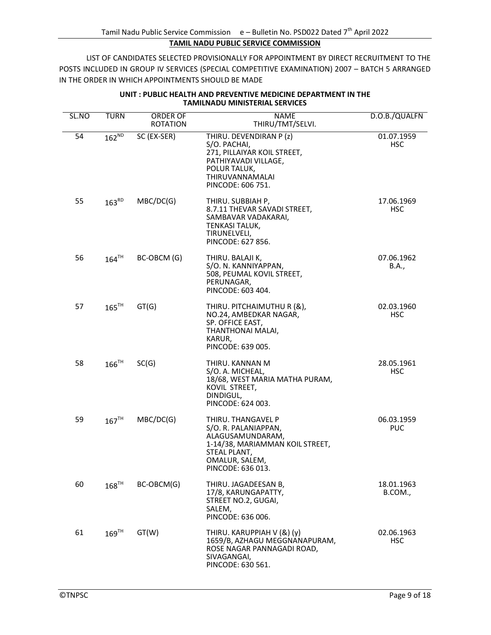| SL.NO | <b>TURN</b>         | ORDER OF                       | NAME                                                                                                                                                     | D.O.B./QUALFN            |
|-------|---------------------|--------------------------------|----------------------------------------------------------------------------------------------------------------------------------------------------------|--------------------------|
| 54    | $162^{ND}$          | <b>ROTATION</b><br>SC (EX-SER) | THIRU/TMT/SELVI.<br>THIRU. DEVENDIRAN P (z)<br>S/O. PACHAI,<br>271, PILLAIYAR KOIL STREET,<br>PATHIYAVADI VILLAGE,<br>POLUR TALUK,                       | 01.07.1959<br><b>HSC</b> |
| 55    | $163^{RD}$          | MBC/DC(G)                      | THIRUVANNAMALAI<br>PINCODE: 606 751.<br>THIRU. SUBBIAH P,<br>8.7.11 THEVAR SAVADI STREET,                                                                | 17.06.1969<br><b>HSC</b> |
|       |                     |                                | SAMBAVAR VADAKARAI,<br>TENKASI TALUK,<br>TIRUNELVELI,<br>PINCODE: 627 856.                                                                               |                          |
| 56    | $164$ <sup>TH</sup> | BC-OBCM (G)                    | THIRU. BALAJI K,<br>S/O. N. KANNIYAPPAN,<br>508, PEUMAL KOVIL STREET,<br>PERUNAGAR,<br>PINCODE: 603 404.                                                 | 07.06.1962<br>B.A.,      |
| 57    | $165$ <sup>TH</sup> | GT(G)                          | THIRU. PITCHAIMUTHU R (&),<br>NO.24, AMBEDKAR NAGAR,<br>SP. OFFICE EAST,<br>THANTHONAI MALAI,<br>KARUR,<br>PINCODE: 639 005.                             | 02.03.1960<br><b>HSC</b> |
| 58    | $166$ <sup>TH</sup> | SC(G)                          | THIRU. KANNAN M<br>S/O. A. MICHEAL,<br>18/68, WEST MARIA MATHA PURAM,<br>KOVIL STREET,<br>DINDIGUL,<br>PINCODE: 624 003.                                 | 28.05.1961<br><b>HSC</b> |
| 59    | $167$ <sup>TH</sup> | MBC/DC(G)                      | THIRU. THANGAVEL P<br>S/O. R. PALANIAPPAN,<br>ALAGUSAMUNDARAM,<br>1-14/38, MARIAMMAN KOIL STREET,<br>STEAL PLANT,<br>OMALUR, SALEM,<br>PINCODE: 636 013. | 06.03.1959<br><b>PUC</b> |
| 60    | $168$ <sup>TH</sup> | BC-OBCM(G)                     | THIRU. JAGADEESAN B,<br>17/8, KARUNGAPATTY,<br>STREET NO.2, GUGAI,<br>SALEM,<br>PINCODE: 636 006.                                                        | 18.01.1963<br>B.COM.,    |
| 61    | $169$ <sup>TH</sup> | GT(W)                          | THIRU. KARUPPIAH V (&) (y)<br>1659/B, AZHAGU MEGGNANAPURAM,<br>ROSE NAGAR PANNAGADI ROAD,<br>SIVAGANGAI,<br>PINCODE: 630 561.                            | 02.06.1963<br><b>HSC</b> |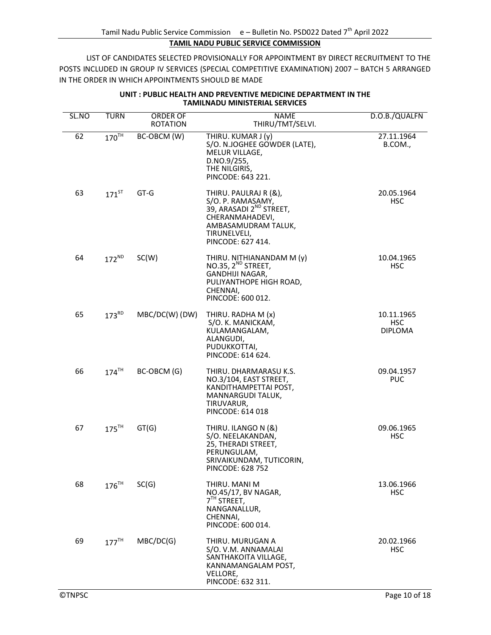| SL.NO | <b>TURN</b>         | <b>ORDER OF</b><br><b>ROTATION</b> | <b>NAME</b><br>THIRU/TMT/SELVI.                                                                                                                                  | D.O.B./QUALFN                              |
|-------|---------------------|------------------------------------|------------------------------------------------------------------------------------------------------------------------------------------------------------------|--------------------------------------------|
| 62    | $170^{\text{TH}}$   | BC-OBCM (W)                        | THIRU. KUMAR J (y)<br>S/O. N.JOGHEE GOWDER (LATE),<br>MELUR VILLAGE,<br>D.NO.9/255,<br>THE NILGIRIS,<br>PINCODE: 643 221.                                        | 27.11.1964<br>B.COM.,                      |
| 63    | $171^{5T}$          | GT-G                               | THIRU. PAULRAJ R (&),<br>S/O. P. RAMASAMY,<br>39, ARASADI 2 <sup>ND</sup> STREET,<br>CHERANMAHADEVI,<br>AMBASAMUDRAM TALUK,<br>TIRUNELVELI,<br>PINCODE: 627 414. | 20.05.1964<br>HSC.                         |
| 64    | $172^{ND}$          | SC(W)                              | THIRU. NITHIANANDAM M (y)<br>NO.35, 2 <sup>ND</sup> STREET,<br>GANDHIJI NAGAR,<br>PULIYANTHOPE HIGH ROAD,<br>CHENNAI,<br>PINCODE: 600 012.                       | 10.04.1965<br>HSC.                         |
| 65    | $173^{RD}$          | $MBC/DC(W)$ (DW)                   | THIRU. RADHA M (x)<br>S/O. K. MANICKAM,<br>KULAMANGALAM,<br>ALANGUDI,<br>PUDUKKOTTAI,<br>PINCODE: 614 624.                                                       | 10.11.1965<br><b>HSC</b><br><b>DIPLOMA</b> |
| 66    | $174$ <sup>TH</sup> | BC-OBCM (G)                        | THIRU. DHARMARASU K.S.<br>NO.3/104, EAST STREET,<br>KANDITHAMPETTAI POST,<br>MANNARGUDI TALUK,<br>TIRUVARUR,<br>PINCODE: 614 018                                 | 09.04.1957<br><b>PUC</b>                   |
| 67    | $175$ <sup>TH</sup> | GT(G)                              | THIRU. ILANGO N (&)<br>S/O. NEELAKANDAN,<br>25, THERADI STREET,<br>PERUNGULAM,<br>SRIVAIKUNDAM, TUTICORIN,<br>PINCODE: 628 752                                   | 09.06.1965<br><b>HSC</b>                   |
| 68    | $176$ <sup>TH</sup> | SC(G)                              | THIRU. MANI M<br>NO.45/17, BV NAGAR,<br>7 <sup>TH</sup> STREET,<br>NANGANALLUR,<br>CHENNAI,<br>PINCODE: 600 014.                                                 | 13.06.1966<br><b>HSC</b>                   |
| 69    | 177 <sup>TH</sup>   | MBC/DC(G)                          | THIRU. MURUGAN A<br>S/O. V.M. ANNAMALAI<br>SANTHAKOITA VILLAGE,<br>KANNAMANGALAM POST,<br>VELLORE,<br>PINCODE: 632 311.                                          | 20.02.1966<br><b>HSC</b>                   |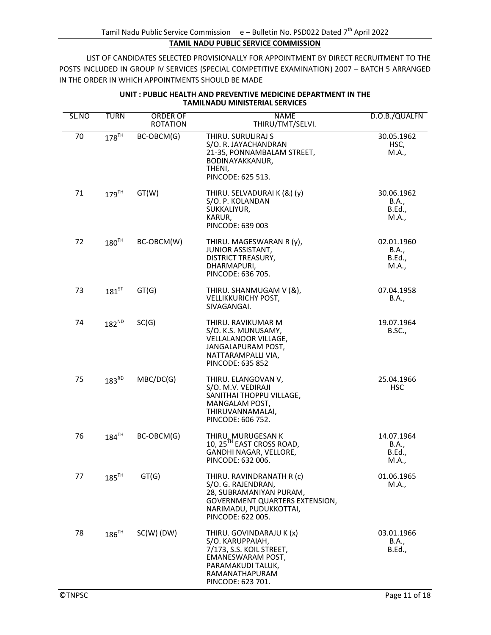| SL.NO | <b>TURN</b>         | ORDER OF        | <b>NAME</b>                                                                                                                                                 | D.O.B./QUALFN                                 |
|-------|---------------------|-----------------|-------------------------------------------------------------------------------------------------------------------------------------------------------------|-----------------------------------------------|
|       |                     | <b>ROTATION</b> | THIRU/TMT/SELVI.                                                                                                                                            |                                               |
| 70    | $178$ <sup>TH</sup> | BC-OBCM(G)      | THIRU. SURULIRAJ S<br>S/O. R. JAYACHANDRAN<br>21-35, PONNAMBALAM STREET,<br>BODINAYAKKANUR,<br>THENI,<br>PINCODE: 625 513.                                  | 30.05.1962<br>HSC,<br>M.A.,                   |
| 71    | $179$ <sup>TH</sup> | GT(W)           | THIRU. SELVADURAI K (&) (y)<br>S/O. P. KOLANDAN<br>SUKKALIYUR,<br>KARUR,<br>PINCODE: 639 003                                                                | 30.06.1962<br>B.A.,<br><b>B.Ed.,</b><br>M.A., |
| 72    | $180^{\text{TH}}$   | BC-OBCM(W)      | THIRU. MAGESWARAN R (y),<br><b>JUNIOR ASSISTANT,</b><br>DISTRICT TREASURY,<br>DHARMAPURI,<br>PINCODE: 636 705.                                              | 02.01.1960<br>B.A.,<br>B.Ed.,<br>M.A.,        |
| 73    | $181^{5T}$          | GT(G)           | THIRU. SHANMUGAM V (&),<br><b>VELLIKKURICHY POST,</b><br>SIVAGANGAI.                                                                                        | 07.04.1958<br>B.A.,                           |
| 74    | $182^{ND}$          | SC(G)           | THIRU. RAVIKUMAR M<br>S/O. K.S. MUNUSAMY,<br>VELLALANOOR VILLAGE,<br>JANGALAPURAM POST,<br>NATTARAMPALLI VIA,<br>PINCODE: 635 852                           | 19.07.1964<br><b>B.SC.,</b>                   |
| 75    | $183^{RD}$          | MBC/DC(G)       | THIRU. ELANGOVAN V,<br>S/O. M.V. VEDIRAJI<br>SANITHAI THOPPU VILLAGE,<br>MANGALAM POST,<br>THIRUVANNAMALAI,<br>PINCODE: 606 752.                            | 25.04.1966<br><b>HSC</b>                      |
| 76    | $184$ <sup>TH</sup> | BC-OBCM(G)      | THIRU. MURUGESAN K<br>10, 25 <sup>TH</sup> EAST CROSS ROAD,<br>GANDHI NAGAR, VELLORE,<br>PINCODE: 632 006.                                                  | 14.07.1964<br>B.A.,<br><b>B.Ed.,</b><br>M.A., |
| 77    | $185$ <sup>TH</sup> | GT(G)           | THIRU. RAVINDRANATH R (c)<br>S/O. G. RAJENDRAN,<br>28, SUBRAMANIYAN PURAM,<br>GOVERNMENT QUARTERS EXTENSION,<br>NARIMADU, PUDUKKOTTAI,<br>PINCODE: 622 005. | 01.06.1965<br>M.A.,                           |
| 78    | $186^{\text{TH}}$   | $SC(W)$ (DW)    | THIRU. GOVINDARAJU K (x)<br>S/O. KARUPPAIAH,<br>7/173, S.S. KOIL STREET,<br>EMANESWARAM POST,<br>PARAMAKUDI TALUK,<br>RAMANATHAPURAM<br>PINCODE: 623 701.   | 03.01.1966<br>B.A.,<br><b>B.Ed.,</b>          |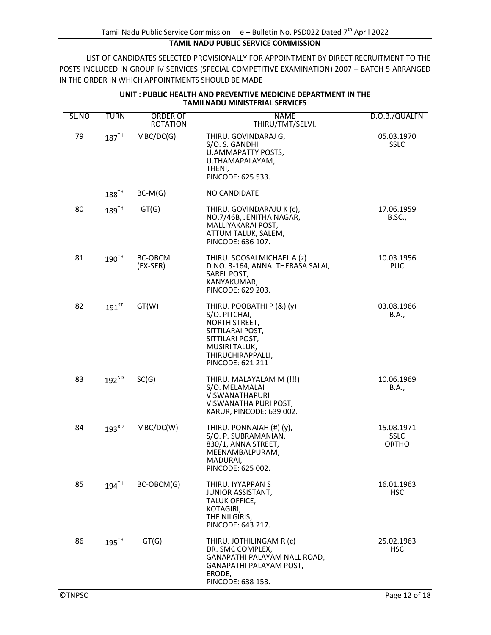| SL.NO | <b>TURN</b>         | ORDER OF<br><b>ROTATION</b> | <b>NAME</b><br>THIRU/TMT/SELVI.                                                                                                                              | D.O.B./QUALFN                             |
|-------|---------------------|-----------------------------|--------------------------------------------------------------------------------------------------------------------------------------------------------------|-------------------------------------------|
| 79    | $187^{\text{TH}}$   | MBC/DC(G)                   | THIRU. GOVINDARAJ G,<br>S/O. S. GANDHI<br>U.AMMAPATTY POSTS,<br>U.THAMAPALAYAM,<br>THENI,<br>PINCODE: 625 533.                                               | 05.03.1970<br><b>SSLC</b>                 |
|       | $188^{\text{TH}}$   | $BC-M(G)$                   | NO CANDIDATE                                                                                                                                                 |                                           |
| 80    | $189$ <sup>TH</sup> | GT(G)                       | THIRU. GOVINDARAJU K (c),<br>NO.7/46B, JENITHA NAGAR,<br>MALLIYAKARAI POST,<br>ATTUM TALUK, SALEM,<br>PINCODE: 636 107.                                      | 17.06.1959<br><b>B.SC.,</b>               |
| 81    | 190 <sup>TH</sup>   | BC-OBCM<br>$(EX-SER)$       | THIRU. SOOSAI MICHAEL A (z)<br>D.NO. 3-164, ANNAI THERASA SALAI,<br>SAREL POST,<br>KANYAKUMAR,<br>PINCODE: 629 203.                                          | 10.03.1956<br><b>PUC</b>                  |
| 82    | $191$ <sup>ST</sup> | GT(W)                       | THIRU. POOBATHI P (&) (y)<br>S/O. PITCHAI,<br>NORTH STREET,<br>SITTILARAI POST,<br>SITTILARI POST,<br>MUSIRI TALUK,<br>THIRUCHIRAPPALLI,<br>PINCODE: 621 211 | 03.08.1966<br>B.A.,                       |
| 83    | $192^{ND}$          | SC(G)                       | THIRU. MALAYALAM M (!!!)<br>S/O. MELAMALAI<br><b>VISWANATHAPURI</b><br>VISWANATHA PURI POST,<br>KARUR, PINCODE: 639 002.                                     | 10.06.1969<br>B.A.,                       |
| 84    | $193^{RD}$          | MBC/DC(W)                   | THIRU. PONNAIAH (#) (y),<br>S/O. P. SUBRAMANIAN,<br>830/1, ANNA STREET,<br>MEENAMBALPURAM,<br>MADURAI,<br>PINCODE: 625 002.                                  | 15.08.1971<br><b>SSLC</b><br><b>ORTHO</b> |
| 85    | $194$ <sup>TH</sup> | BC-OBCM(G)                  | THIRU. IYYAPPAN S<br><b>JUNIOR ASSISTANT,</b><br>TALUK OFFICE,<br>KOTAGIRI,<br>THE NILGIRIS,<br>PINCODE: 643 217.                                            | 16.01.1963<br>HSC.                        |
| 86    | $195$ <sup>TH</sup> | GT(G)                       | THIRU. JOTHILINGAM R (c)<br>DR. SMC COMPLEX,<br>GANAPATHI PALAYAM NALL ROAD,<br>GANAPATHI PALAYAM POST,<br>ERODE,<br>PINCODE: 638 153.                       | 25.02.1963<br><b>HSC</b>                  |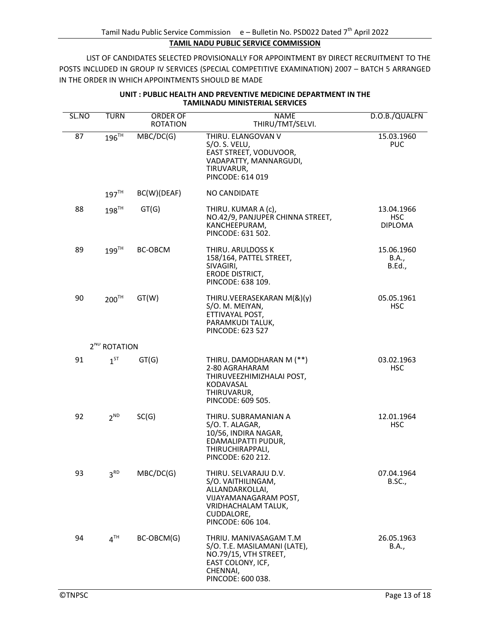| SL.NO | <b>TURN</b>              | <b>ORDER OF</b><br><b>ROTATION</b> | <b>NAME</b><br>THIRU/TMT/SELVI.                                                                                                                   | D.O.B./QUALFN                        |
|-------|--------------------------|------------------------------------|---------------------------------------------------------------------------------------------------------------------------------------------------|--------------------------------------|
| 87    | $196$ <sup>TH</sup>      | MBC/DC(G)                          | THIRU. ELANGOVAN V<br>S/O. S. VELU,<br>EAST STREET, VODUVOOR,<br>VADAPATTY, MANNARGUDI,<br>TIRUVARUR,<br>PINCODE: 614 019                         | 15.03.1960<br><b>PUC</b>             |
|       | 197 <sup>TH</sup>        | BC(W)(DEAF)                        | <b>NO CANDIDATE</b>                                                                                                                               |                                      |
| 88    | $198$ <sup>TH</sup>      | GT(G)                              | THIRU. KUMAR A (c),<br>NO.42/9, PANJUPER CHINNA STREET,<br>KANCHEEPURAM,<br>PINCODE: 631 502.                                                     | 13.04.1966<br>HSC.<br><b>DIPLOMA</b> |
| 89    | $199$ <sup>TH</sup>      | BC-OBCM                            | THIRU. ARULDOSS K<br>158/164, PATTEL STREET,<br>SIVAGIRI,<br><b>ERODE DISTRICT,</b><br>PINCODE: 638 109.                                          | 15.06.1960<br>B.A.,<br><b>B.Ed.,</b> |
| 90    | 200 <sup>TH</sup>        | GT(W)                              | THIRU.VEERASEKARAN M(&)(y)<br>S/O. M. MEIYAN,<br>ETTIVAYAL POST,<br>PARAMKUDI TALUK,<br>PINCODE: 623 527                                          | 05.05.1961<br><b>HSC</b>             |
|       | 2 <sup>ND</sup> ROTATION |                                    |                                                                                                                                                   |                                      |
| 91    | $1^{ST}$                 | GT(G)                              | THIRU. DAMODHARAN M (**)<br>2-80 AGRAHARAM<br>THIRUVEEZHIMIZHALAI POST,<br>KODAVASAL<br>THIRUVARUR,<br>PINCODE: 609 505.                          | 03.02.1963<br><b>HSC</b>             |
| 92    | $2^{ND}$                 | SC(G)                              | THIRU. SUBRAMANIAN A<br>S/O.T. ALAGAR,<br>10/56, INDIRA NAGAR,<br>EDAMALIPATTI PUDUR,<br>THIRUCHIRAPPALI,<br>PINCODE: 620 212.                    | 12.01.1964<br><b>HSC</b>             |
| 93    | 3 <sup>RD</sup>          | MBC/DC(G)                          | THIRU. SELVARAJU D.V.<br>S/O. VAITHILINGAM,<br>ALLANDARKOLLAI,<br>VIJAYAMANAGARAM POST,<br>VRIDHACHALAM TALUK,<br>CUDDALORE,<br>PINCODE: 606 104. | 07.04.1964<br><b>B.SC.,</b>          |
| 94    | 4 <sup>TH</sup>          | BC-OBCM(G)                         | THRIU. MANIVASAGAM T.M<br>S/O. T.E. MASILAMANI (LATE),<br>NO.79/15, VTH STREET,<br>EAST COLONY, ICF,<br>CHENNAI,<br>PINCODE: 600 038.             | 26.05.1963<br>B.A.,                  |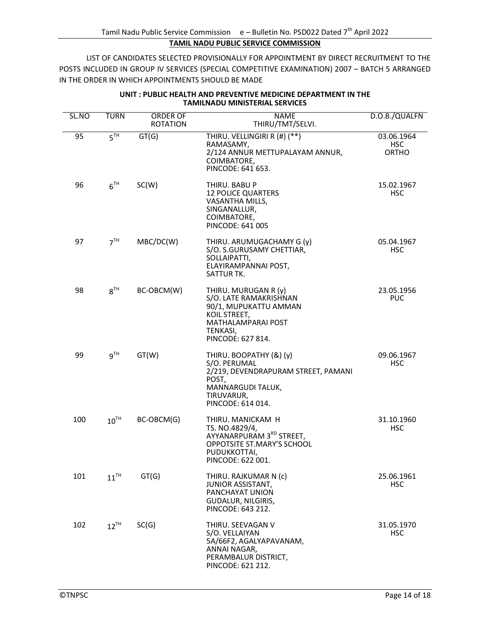| SL.NO | <b>TURN</b>      | <b>ORDER OF</b><br><b>ROTATION</b> | <b>NAME</b><br>THIRU/TMT/SELVI.                                                                                                                 | D.O.B./QUALFN                            |
|-------|------------------|------------------------------------|-------------------------------------------------------------------------------------------------------------------------------------------------|------------------------------------------|
| 95    | 5 <sup>TH</sup>  | GT(G)                              | THIRU. VELLINGIRI R (#) (**)<br>RAMASAMY,<br>2/124 ANNUR METTUPALAYAM ANNUR,<br>COIMBATORE,<br>PINCODE: 641 653.                                | 03.06.1964<br><b>HSC</b><br><b>ORTHO</b> |
| 96    | 6 <sup>TH</sup>  | SC(W)                              | THIRU. BABU P<br><b>12 POLICE QUARTERS</b><br>VASANTHA MILLS,<br>SINGANALLUR,<br>COIMBATORE,<br>PINCODE: 641 005                                | 15.02.1967<br><b>HSC</b>                 |
| 97    | 7 <sup>TH</sup>  | MBC/DC(W)                          | THIRU. ARUMUGACHAMY G (y)<br>S/O. S.GURUSAMY CHETTIAR,<br>SOLLAIPATTI,<br>ELAYIRAMPANNAI POST,<br>SATTUR TK.                                    | 05.04.1967<br><b>HSC</b>                 |
| 98    | 8 <sup>TH</sup>  | BC-OBCM(W)                         | THIRU. MURUGAN R (y)<br>S/O. LATE RAMAKRISHNAN<br>90/1, MUPUKATTU AMMAN<br>KOIL STREET,<br>MATHALAMPARAI POST<br>TENKASI,<br>PINCODE: 627 814.  | 23.05.1956<br><b>PUC</b>                 |
| 99    | 9 <sup>TH</sup>  | GT(W)                              | THIRU. BOOPATHY (&) (y)<br>S/O. PERUMAL<br>2/219, DEVENDRAPURAM STREET, PAMANI<br>POST,<br>MANNARGUDI TALUK,<br>TIRUVARUR,<br>PINCODE: 614 014. | 09.06.1967<br><b>HSC</b>                 |
| 100   | $10^{TH}$        | BC-OBCM(G)                         | THIRU. MANICKAM H<br>TS. NO.4829/4,<br>AYYANARPURAM 3RD STREET,<br>OPPOTSITE ST.MARY'S SCHOOL<br>PUDUKKOTTAI,<br>PINCODE: 622 001.              | 31.10.1960<br><b>HSC</b>                 |
| 101   | $11^{\text{TH}}$ | GT(G)                              | THIRU. RAJKUMAR N (c)<br><b>JUNIOR ASSISTANT,</b><br>PANCHAYAT UNION<br>GUDALUR, NILGIRIS,<br>PINCODE: 643 212.                                 | 25.06.1961<br>HSC.                       |
| 102   | $12^{TH}$        | SC(G)                              | THIRU. SEEVAGAN V<br>S/O. VELLAIYAN<br>5A/66F2, AGALYAPAVANAM,<br>ANNAI NAGAR,<br>PERAMBALUR DISTRICT,<br>PINCODE: 621 212.                     | 31.05.1970<br><b>HSC</b>                 |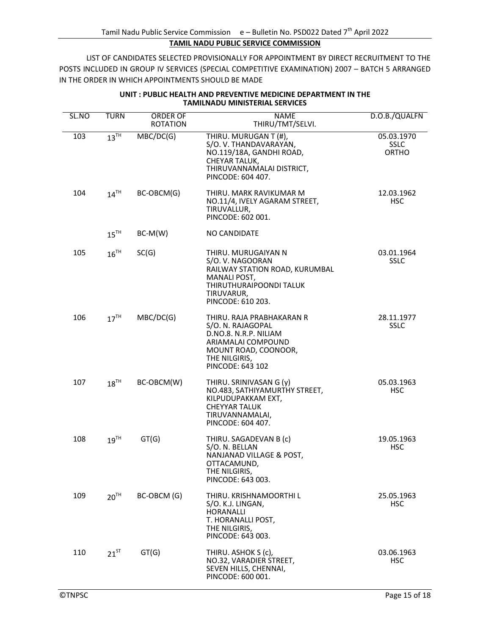| SL.NO | <b>TURN</b>        | <b>ORDER OF</b><br><b>ROTATION</b> | <b>NAME</b><br>THIRU/TMT/SELVI.                                                                                                                            | D.O.B./QUALFN                             |
|-------|--------------------|------------------------------------|------------------------------------------------------------------------------------------------------------------------------------------------------------|-------------------------------------------|
| 103   | $13^{\text{TH}}$   | MBC/DC(G)                          | THIRU. MURUGAN T (#),<br>S/O.V. THANDAVARAYAN,<br>NO.119/18A, GANDHI ROAD,<br>CHEYAR TALUK,<br>THIRUVANNAMALAI DISTRICT,<br>PINCODE: 604 407.              | 05.03.1970<br><b>SSLC</b><br><b>ORTHO</b> |
| 104   | $14^{TH}$          | BC-OBCM(G)                         | THIRU. MARK RAVIKUMAR M<br>NO.11/4, IVELY AGARAM STREET,<br>TIRUVALLUR,<br>PINCODE: 602 001.                                                               | 12.03.1962<br><b>HSC</b>                  |
|       | $15$ <sup>TH</sup> | $BC-M(W)$                          | NO CANDIDATE                                                                                                                                               |                                           |
| 105   | $16^{TH}$          | SC(G)                              | THIRU. MURUGAIYAN N<br>S/O.V. NAGOORAN<br>RAILWAY STATION ROAD, KURUMBAL<br>MANALI POST,<br>THIRUTHURAIPOONDI TALUK<br>TIRUVARUR,<br>PINCODE: 610 203.     | 03.01.1964<br><b>SSLC</b>                 |
| 106   | 17 <sup>TH</sup>   | MBC/DC(G)                          | THIRU. RAJA PRABHAKARAN R<br>S/O. N. RAJAGOPAL<br>D.NO.8. N.R.P. NILIAM<br>ARIAMALAI COMPOUND<br>MOUNT ROAD, COONOOR,<br>THE NILGIRIS,<br>PINCODE: 643 102 | 28.11.1977<br><b>SSLC</b>                 |
| 107   | $18^{TH}$          | BC-OBCM(W)                         | THIRU. SRINIVASAN G (y)<br>NO.483, SATHIYAMURTHY STREET,<br>KILPUDUPAKKAM EXT,<br><b>CHEYYAR TALUK</b><br>TIRUVANNAMALAI,<br>PINCODE: 604 407.             | 05.03.1963<br><b>HSC</b>                  |
| 108   | $19^{TH}$          | GT(G)                              | THIRU. SAGADEVAN B (c)<br>S/O. N. BELLAN<br>NANJANAD VILLAGE & POST,<br>OTTACAMUND,<br>THE NILGIRIS,<br>PINCODE: 643 003.                                  | 19.05.1963<br><b>HSC</b>                  |
| 109   | $20^{TH}$          | BC-OBCM (G)                        | THIRU. KRISHNAMOORTHI L<br>S/O. K.J. LINGAN,<br><b>HORANALLI</b><br>T. HORANALLI POST,<br>THE NILGIRIS,<br>PINCODE: 643 003.                               | 25.05.1963<br>HSC.                        |
| 110   | $21^{ST}$          | GT(G)                              | THIRU. ASHOK S (c),<br>NO.32, VARADIER STREET,<br>SEVEN HILLS, CHENNAI,<br>PINCODE: 600 001.                                                               | 03.06.1963<br><b>HSC</b>                  |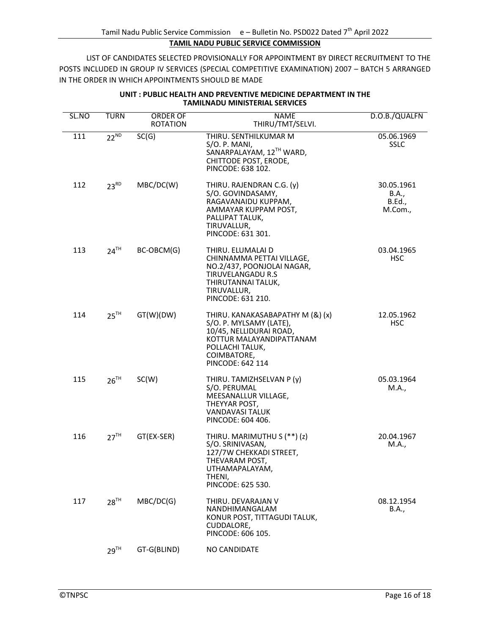| SL.NO | <b>TURN</b>        | ORDER OF<br><b>ROTATION</b> | <b>NAME</b><br>THIRU/TMT/SELVI.                                                                                                                                          | D.O.B./QUALFN                                   |
|-------|--------------------|-----------------------------|--------------------------------------------------------------------------------------------------------------------------------------------------------------------------|-------------------------------------------------|
| 111   | $22^{ND}$          | SC(G)                       | THIRU. SENTHILKUMAR M<br>S/O. P. MANI,<br>SANARPALAYAM, 12TH WARD,<br>CHITTODE POST, ERODE,<br>PINCODE: 638 102.                                                         | 05.06.1969<br><b>SSLC</b>                       |
| 112   | $23^{RD}$          | MBC/DC(W)                   | THIRU. RAJENDRAN C.G. (y)<br>S/O. GOVINDASAMY,<br>RAGAVANAIDU KUPPAM,<br>AMMAYAR KUPPAM POST,<br>PALLIPAT TALUK,<br>TIRUVALLUR,<br>PINCODE: 631 301.                     | 30.05.1961<br>B.A.,<br><b>B.Ed.,</b><br>M.Com., |
| 113   | $24$ <sup>TH</sup> | BC-OBCM(G)                  | THIRU. ELUMALAI D<br>CHINNAMMA PETTAI VILLAGE,<br>NO.2/437, POONJOLAI NAGAR,<br><b>TIRUVELANGADU R.S</b><br>THIRUTANNAI TALUK,<br>TIRUVALLUR,<br>PINCODE: 631 210.       | 03.04.1965<br><b>HSC</b>                        |
| 114   | $25$ <sup>TH</sup> | GT(W)(DW)                   | THIRU. KANAKASABAPATHY M (&) (x)<br>S/O. P. MYLSAMY (LATE),<br>10/45, NELLIDURAI ROAD,<br>KOTTUR MALAYANDIPATTANAM<br>POLLACHI TALUK,<br>COIMBATORE,<br>PINCODE: 642 114 | 12.05.1962<br><b>HSC</b>                        |
| 115   | $26^{TH}$          | SC(W)                       | THIRU. TAMIZHSELVAN P (y)<br>S/O. PERUMAL<br>MEESANALLUR VILLAGE,<br>THEYYAR POST,<br><b>VANDAVASI TALUK</b><br>PINCODE: 604 406.                                        | 05.03.1964<br>M.A.,                             |
| 116   | $27^{\text{TH}}$   | GT(EX-SER)                  | THIRU. MARIMUTHU S (**) (z)<br>S/O. SRINIVASAN,<br>127/7W CHEKKADI STREET,<br>THEVARAM POST,<br>UTHAMAPALAYAM,<br>THENI,<br>PINCODE: 625 530.                            | 20.04.1967<br>M.A.,                             |
| 117   | $28^{TH}$          | MBC/DC(G)                   | THIRU. DEVARAJAN V<br>NANDHIMANGALAM<br>KONUR POST, TITTAGUDI TALUK,<br>CUDDALORE,<br>PINCODE: 606 105.                                                                  | 08.12.1954<br>B.A.,                             |
|       | 29 <sup>TH</sup>   | GT-G(BLIND)                 | NO CANDIDATE                                                                                                                                                             |                                                 |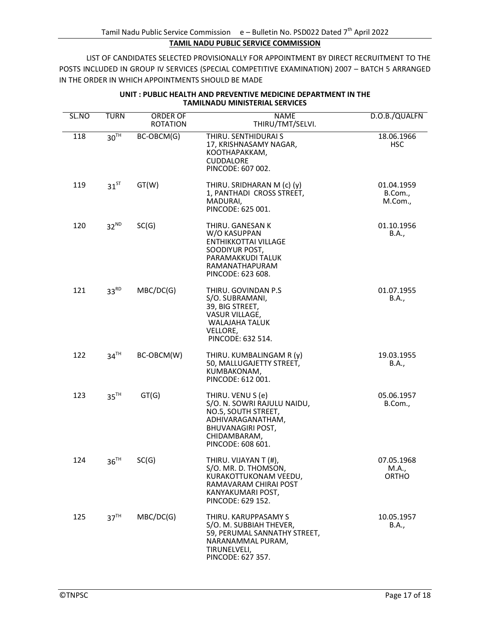| SL.NO | <b>TURN</b>      | ORDER OF<br><b>ROTATION</b> | <b>NAME</b><br>THIRU/TMT/SELVI.                                                                                                                               | D.O.B./QUALFN                       |
|-------|------------------|-----------------------------|---------------------------------------------------------------------------------------------------------------------------------------------------------------|-------------------------------------|
| 118   | $30^{TH}$        | BC-OBCM(G)                  | THIRU. SENTHIDURAI S<br>17, KRISHNASAMY NAGAR,<br>КООТНАРАККАМ,<br>CUDDALORE<br>PINCODE: 607 002.                                                             | 18.06.1966<br><b>HSC</b>            |
| 119   | $31^{5T}$        | GT(W)                       | THIRU. SRIDHARAN M (c) (y)<br>1, PANTHADI CROSS STREET,<br>MADURAI.<br>PINCODE: 625 001.                                                                      | 01.04.1959<br>B.Com.,<br>M.Com.,    |
| 120   | $32^{ND}$        | SC(G)                       | THIRU. GANESAN K<br>W/O KASUPPAN<br><b>ENTHIKKOTTAI VILLAGE</b><br>SOODIYUR POST,<br>PARAMAKKUDI TALUK<br>RAMANATHAPURAM<br>PINCODE: 623 608.                 | 01.10.1956<br><b>B.A.,</b>          |
| 121   | $33^{RD}$        | MBC/DC(G)                   | THIRU. GOVINDAN P.S.<br>S/O. SUBRAMANI,<br>39, BIG STREET,<br>VASUR VILLAGE,<br>WALAJAHA TALUK<br>VELLORE,<br>PINCODE: 632 514.                               | 01.07.1955<br>B.A.,                 |
| 122   | $34^{\text{TH}}$ | BC-OBCM(W)                  | THIRU. KUMBALINGAM R (y)<br>50, MALLUGAJETTY STREET,<br>KUMBAKONAM,<br>PINCODE: 612 001.                                                                      | 19.03.1955<br>B.A.,                 |
| 123   | 35 <sup>TH</sup> | GT(G)                       | THIRU. VENU S (e)<br>S/O. N. SOWRI RAJULU NAIDU,<br>NO.5, SOUTH STREET,<br>ADHIVARAGANATHAM,<br><b>BHUVANAGIRI POST,</b><br>CHIDAMBARAM,<br>PINCODE: 608 601. | 05.06.1957<br>B.Com.,               |
| 124   | 36 <sup>TH</sup> | SC(G)                       | THIRU. VIJAYAN T (#),<br>S/O. MR. D. THOMSON,<br>KURAKOTTUKONAM VEEDU,<br>RAMAVARAM CHIRAI POST<br>KANYAKUMARI POST,<br>PINCODE: 629 152.                     | 07.05.1968<br>M.A.,<br><b>ORTHO</b> |
| 125   | 37 <sup>TH</sup> | MBC/DC(G)                   | THIRU. KARUPPASAMY S<br>S/O. M. SUBBIAH THEVER,<br>59, PERUMAL SANNATHY STREET,<br>NARANAMMAL PURAM,<br>TIRUNELVELI,<br>PINCODE: 627 357.                     | 10.05.1957<br>B.A.,                 |